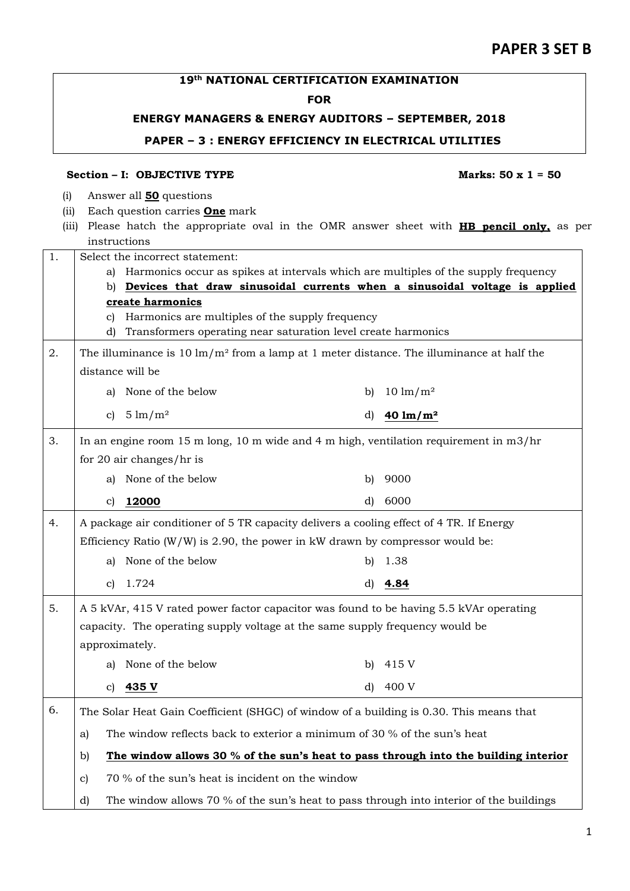## **19th NATIONAL CERTIFICATION EXAMINATION**

## **FOR**

## **ENERGY MANAGERS & ENERGY AUDITORS – SEPTEMBER, 2018**

### **PAPER – 3 : ENERGY EFFICIENCY IN ELECTRICAL UTILITIES**

## **Section – I: OBJECTIVE TYPE Marks: 50 x 1 = 50**

- (i) Answer all **50** questions
- (ii) Each question carries **One** mark
- (iii) Please hatch the appropriate oval in the OMR answer sheet with **HB pencil only,** as per instructions

| 1. | Select the incorrect statement: |                                                                                                                  |    |                     |  |  |  |  |
|----|---------------------------------|------------------------------------------------------------------------------------------------------------------|----|---------------------|--|--|--|--|
|    |                                 | a) Harmonics occur as spikes at intervals which are multiples of the supply frequency                            |    |                     |  |  |  |  |
|    |                                 | b) Devices that draw sinusoidal currents when a sinusoidal voltage is applied                                    |    |                     |  |  |  |  |
|    |                                 | create harmonics                                                                                                 |    |                     |  |  |  |  |
|    | C)<br>d)                        | Harmonics are multiples of the supply frequency<br>Transformers operating near saturation level create harmonics |    |                     |  |  |  |  |
|    |                                 |                                                                                                                  |    |                     |  |  |  |  |
| 2. |                                 | The illuminance is 10 $\text{Im}/\text{m}^2$ from a lamp at 1 meter distance. The illuminance at half the        |    |                     |  |  |  |  |
|    |                                 | distance will be                                                                                                 |    |                     |  |  |  |  |
|    | a)                              | None of the below                                                                                                | b) | $10 \text{ lm/m}^2$ |  |  |  |  |
|    | c)                              | $5 \text{ lm} / \text{m}^2$                                                                                      | d) | 40 $\rm{lm/m^2}$    |  |  |  |  |
| 3. |                                 | In an engine room 15 m long, 10 m wide and 4 m high, ventilation requirement in $m3/hr$                          |    |                     |  |  |  |  |
|    |                                 | for 20 air changes/hr is                                                                                         |    |                     |  |  |  |  |
|    |                                 | a) None of the below                                                                                             | b) | 9000                |  |  |  |  |
|    | c)                              | 12000                                                                                                            | d) | 6000                |  |  |  |  |
| 4. |                                 | A package air conditioner of 5 TR capacity delivers a cooling effect of 4 TR. If Energy                          |    |                     |  |  |  |  |
|    |                                 | Efficiency Ratio $(W/W)$ is 2.90, the power in kW drawn by compressor would be:                                  |    |                     |  |  |  |  |
|    | a)                              | None of the below                                                                                                | bì | 1.38                |  |  |  |  |
|    | c)                              | 1.724                                                                                                            | d) | 4.84                |  |  |  |  |
| 5. |                                 | A 5 kVAr, 415 V rated power factor capacitor was found to be having 5.5 kVAr operating                           |    |                     |  |  |  |  |
|    |                                 | capacity. The operating supply voltage at the same supply frequency would be                                     |    |                     |  |  |  |  |
|    | approximately.                  |                                                                                                                  |    |                     |  |  |  |  |
|    | a)                              | None of the below                                                                                                | b) | 415 V               |  |  |  |  |
|    | C)                              | 435 V                                                                                                            | d) | 400 V               |  |  |  |  |
| 6. |                                 | The Solar Heat Gain Coefficient (SHGC) of window of a building is 0.30. This means that                          |    |                     |  |  |  |  |
|    | a)                              | The window reflects back to exterior a minimum of 30 $\%$ of the sun's heat                                      |    |                     |  |  |  |  |
|    | b)                              | The window allows 30 $%$ of the sun's heat to pass through into the building interior                            |    |                     |  |  |  |  |
|    | $\mathbf{c})$                   | 70 % of the sun's heat is incident on the window                                                                 |    |                     |  |  |  |  |
|    | d)                              | The window allows 70 % of the sun's heat to pass through into interior of the buildings                          |    |                     |  |  |  |  |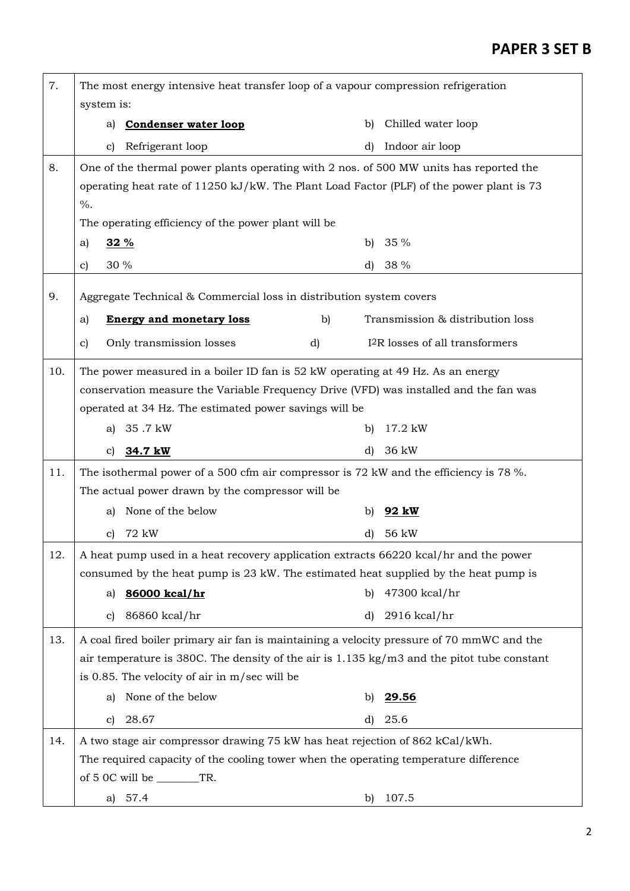| 7.  | The most energy intensive heat transfer loop of a vapour compression refrigeration                  |    |    |                                             |
|-----|-----------------------------------------------------------------------------------------------------|----|----|---------------------------------------------|
|     | system is:                                                                                          |    |    |                                             |
|     | <b>Condenser water loop</b><br>a)                                                                   |    | b) | Chilled water loop                          |
|     | Refrigerant loop<br>c)                                                                              |    | d) | Indoor air loop                             |
| 8.  | One of the thermal power plants operating with 2 nos. of 500 MW units has reported the              |    |    |                                             |
|     | operating heat rate of $11250 \text{ kJ/kW}$ . The Plant Load Factor (PLF) of the power plant is 73 |    |    |                                             |
|     | $\%$ .                                                                                              |    |    |                                             |
|     | The operating efficiency of the power plant will be<br>a)<br>32 %                                   |    | b) | 35%                                         |
|     |                                                                                                     |    |    |                                             |
|     | 30 %<br>$\mathbf{c}$                                                                                |    | d) | 38 %                                        |
| 9.  | Aggregate Technical & Commercial loss in distribution system covers                                 |    |    |                                             |
|     | <b>Energy and monetary loss</b><br>a)                                                               | b) |    | Transmission & distribution loss            |
|     | Only transmission losses<br>c)                                                                      | d) |    | I <sup>2</sup> R losses of all transformers |
| 10. | The power measured in a boiler ID fan is 52 kW operating at 49 Hz. As an energy                     |    |    |                                             |
|     | conservation measure the Variable Frequency Drive (VFD) was installed and the fan was               |    |    |                                             |
|     | operated at 34 Hz. The estimated power savings will be                                              |    |    |                                             |
|     | 35.7 kW<br>a)                                                                                       |    | b) | 17.2 kW                                     |
|     | 34.7 kW<br>C)                                                                                       |    | d) | 36 kW                                       |
| 11. | The isothermal power of a 500 cfm air compressor is 72 kW and the efficiency is 78 %.               |    |    |                                             |
|     | The actual power drawn by the compressor will be                                                    |    |    |                                             |
|     | None of the below<br>a)                                                                             |    | b) | 92 kW                                       |
|     | 72 kW<br>c)                                                                                         |    | d) | 56 kW                                       |
| 12. | A heat pump used in a heat recovery application extracts 66220 kcal/hr and the power                |    |    |                                             |
|     | consumed by the heat pump is 23 kW. The estimated heat supplied by the heat pump is                 |    |    |                                             |
|     | 86000 kcal/hr<br>a)                                                                                 |    | b) | 47300 kcal/hr                               |
|     | 86860 kcal/hr<br>c)                                                                                 |    | d) | $2916$ kcal/hr                              |
| 13. | A coal fired boiler primary air fan is maintaining a velocity pressure of 70 mmWC and the           |    |    |                                             |
|     | air temperature is 380C. The density of the air is $1.135$ kg/m3 and the pitot tube constant        |    |    |                                             |
|     | is 0.85. The velocity of air in m/sec will be                                                       |    |    |                                             |
|     | None of the below<br>a)                                                                             |    | b) | 29.56                                       |
|     | 28.67<br>c)                                                                                         |    | d) | 25.6                                        |
| 14. | A two stage air compressor drawing 75 kW has heat rejection of 862 kCal/kWh.                        |    |    |                                             |
|     | The required capacity of the cooling tower when the operating temperature difference                |    |    |                                             |
|     |                                                                                                     |    |    |                                             |
|     | of $5$ OC will be $\_\_\_\_\_\$ TR.<br>a) 57.4                                                      |    | b) | 107.5                                       |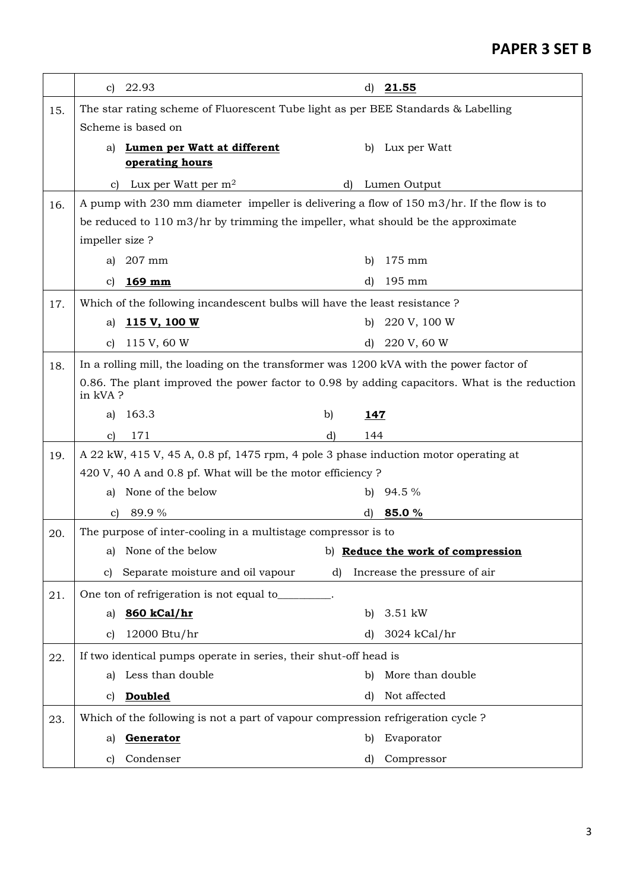|     | c)                                                                                                        | 22.93                                                                                     |    | d)         | 21.55                        |  |
|-----|-----------------------------------------------------------------------------------------------------------|-------------------------------------------------------------------------------------------|----|------------|------------------------------|--|
| 15. |                                                                                                           | The star rating scheme of Fluorescent Tube light as per BEE Standards & Labelling         |    |            |                              |  |
|     |                                                                                                           | Scheme is based on                                                                        |    |            |                              |  |
|     | a)                                                                                                        | Lumen per Watt at different                                                               |    |            | b) Lux per Watt              |  |
|     |                                                                                                           | operating hours                                                                           |    |            |                              |  |
|     | C)                                                                                                        | Lux per Watt per m <sup>2</sup>                                                           |    | d)         | Lumen Output                 |  |
| 16. |                                                                                                           | A pump with 230 mm diameter impeller is delivering a flow of 150 m3/hr. If the flow is to |    |            |                              |  |
|     |                                                                                                           | be reduced to 110 m3/hr by trimming the impeller, what should be the approximate          |    |            |                              |  |
|     | impeller size?                                                                                            |                                                                                           |    |            |                              |  |
|     | a)                                                                                                        | 207 mm                                                                                    |    | b)         | 175 mm                       |  |
|     | C)                                                                                                        | $169$ mm                                                                                  |    | d)         | 195 mm                       |  |
| 17. |                                                                                                           | Which of the following incandescent bulbs will have the least resistance ?                |    |            |                              |  |
|     | a)                                                                                                        | 115 V, 100 W                                                                              |    | b)         | 220 V, 100 W                 |  |
|     | c)                                                                                                        | 115 V, 60 W                                                                               |    | d)         | 220 V, 60 W                  |  |
| 18. |                                                                                                           | In a rolling mill, the loading on the transformer was 1200 kVA with the power factor of   |    |            |                              |  |
|     | 0.86. The plant improved the power factor to 0.98 by adding capacitors. What is the reduction<br>in kVA ? |                                                                                           |    |            |                              |  |
|     | a)                                                                                                        | 163.3                                                                                     | b) | <u>147</u> |                              |  |
|     | C)                                                                                                        | 171                                                                                       | d) | 144        |                              |  |
| 19. |                                                                                                           | A 22 kW, 415 V, 45 A, 0.8 pf, 1475 rpm, 4 pole 3 phase induction motor operating at       |    |            |                              |  |
|     |                                                                                                           | 420 V, 40 A and 0.8 pf. What will be the motor efficiency ?                               |    |            |                              |  |
|     | a)                                                                                                        | None of the below                                                                         |    |            | b) $94.5\%$                  |  |
|     | C)                                                                                                        | 89.9%                                                                                     |    | d)         | 85.0%                        |  |
| 20. |                                                                                                           | The purpose of inter-cooling in a multistage compressor is to                             |    |            |                              |  |
|     |                                                                                                           | a) None of the below b) <b>Reduce the work of compression</b>                             |    |            |                              |  |
|     | c)                                                                                                        | Separate moisture and oil vapour                                                          | d) |            | Increase the pressure of air |  |
| 21. |                                                                                                           | One ton of refrigeration is not equal to_____                                             |    |            |                              |  |
|     | a)                                                                                                        | 860 kCal/hr                                                                               |    | b)         | 3.51 kW                      |  |
|     | c)                                                                                                        | 12000 Btu/hr                                                                              |    | d)         | 3024 kCal/hr                 |  |
| 22. |                                                                                                           | If two identical pumps operate in series, their shut-off head is                          |    |            |                              |  |
|     | a)                                                                                                        | Less than double                                                                          |    | b)         | More than double             |  |
|     | C)                                                                                                        | <b>Doubled</b>                                                                            |    | d)         | Not affected                 |  |
| 23. |                                                                                                           | Which of the following is not a part of vapour compression refrigeration cycle ?          |    |            |                              |  |
|     | a)                                                                                                        | Generator                                                                                 |    | b)         | Evaporator                   |  |
|     | C)                                                                                                        | Condenser                                                                                 |    | d)         | Compressor                   |  |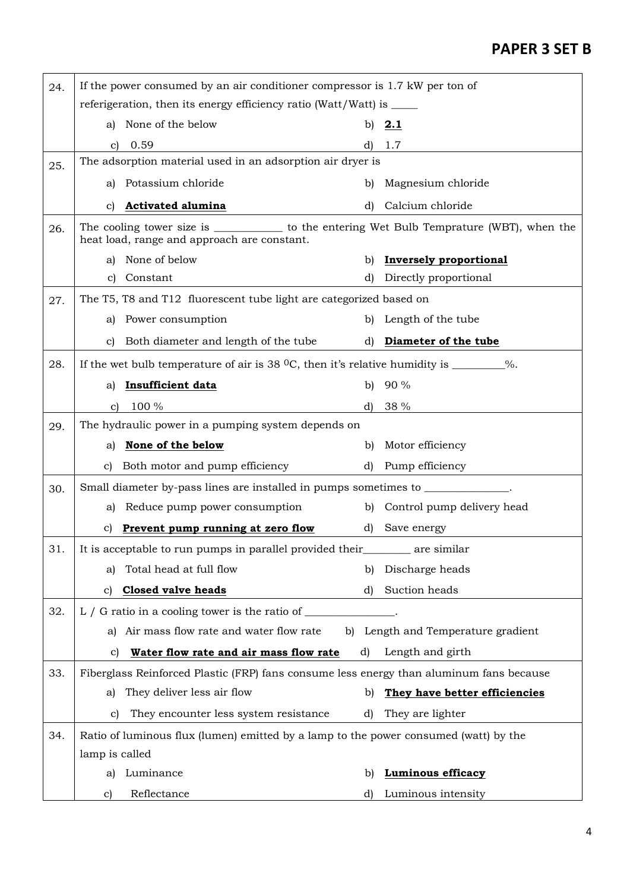| 24. | If the power consumed by an air conditioner compressor is 1.7 kW per ton of                      |                                                                                                                                                    |              |                                    |  |
|-----|--------------------------------------------------------------------------------------------------|----------------------------------------------------------------------------------------------------------------------------------------------------|--------------|------------------------------------|--|
|     |                                                                                                  | referigeration, then its energy efficiency ratio (Watt/Watt) is _____                                                                              |              |                                    |  |
|     | aì                                                                                               | None of the below                                                                                                                                  |              | b) $2.1$                           |  |
|     | $\mathbf{c}$                                                                                     | 0.59                                                                                                                                               |              | 1.7                                |  |
| 25. |                                                                                                  | The adsorption material used in an adsorption air dryer is                                                                                         |              |                                    |  |
|     | aì                                                                                               | Potassium chloride                                                                                                                                 | b)           | Magnesium chloride                 |  |
|     | C)                                                                                               | <b>Activated alumina</b>                                                                                                                           | d)           | Calcium chloride                   |  |
| 26. |                                                                                                  | The cooling tower size is _____________________ to the entering Wet Bulb Temprature (WBT), when the<br>heat load, range and approach are constant. |              |                                    |  |
|     |                                                                                                  | a) None of below                                                                                                                                   | b)           | <b>Inversely proportional</b>      |  |
|     | $\mathbf{C}$                                                                                     | Constant                                                                                                                                           | d)           | Directly proportional              |  |
| 27. |                                                                                                  | The T5, T8 and T12 fluorescent tube light are categorized based on                                                                                 |              |                                    |  |
|     | al                                                                                               | Power consumption                                                                                                                                  |              | b) Length of the tube              |  |
|     | C)                                                                                               | Both diameter and length of the tube                                                                                                               |              | d) Diameter of the tube            |  |
| 28. | If the wet bulb temperature of air is 38 $^{\circ}$ C, then it's relative humidity is ________%. |                                                                                                                                                    |              |                                    |  |
|     | a)                                                                                               | <b>Insufficient data</b>                                                                                                                           | b)           | 90%                                |  |
|     | $\mathbf{c}$                                                                                     | 100 %                                                                                                                                              | d)           | 38 %                               |  |
| 29. |                                                                                                  | The hydraulic power in a pumping system depends on                                                                                                 |              |                                    |  |
|     | a)                                                                                               | None of the below                                                                                                                                  | b)           | Motor efficiency                   |  |
|     | C)                                                                                               | Both motor and pump efficiency                                                                                                                     | $\mathbf{d}$ | Pump efficiency                    |  |
| 30. |                                                                                                  | Small diameter by-pass lines are installed in pumps sometimes to _______________                                                                   |              |                                    |  |
|     | aì                                                                                               | Reduce pump power consumption                                                                                                                      |              | b) Control pump delivery head      |  |
|     |                                                                                                  | c) Prevent pump running at zero flow                                                                                                               | d)           | Save energy                        |  |
| 31. |                                                                                                  | It is acceptable to run pumps in parallel provided their___________ are similar                                                                    |              |                                    |  |
|     | a)                                                                                               | Total head at full flow                                                                                                                            |              | b) Discharge heads                 |  |
|     | $\mathbf{c}$                                                                                     | <b>Closed valve heads</b>                                                                                                                          | d)           | Suction heads                      |  |
| 32. |                                                                                                  | L / G ratio in a cooling tower is the ratio of $\_\_$                                                                                              |              |                                    |  |
|     |                                                                                                  | a) Air mass flow rate and water flow rate                                                                                                          |              | b) Length and Temperature gradient |  |
|     | c)                                                                                               | Water flow rate and air mass flow rate                                                                                                             | d)           | Length and girth                   |  |
| 33. |                                                                                                  | Fiberglass Reinforced Plastic (FRP) fans consume less energy than aluminum fans because                                                            |              |                                    |  |
|     | a)                                                                                               | They deliver less air flow                                                                                                                         | b)           | They have better efficiencies      |  |
|     | $\mathbf{c}$                                                                                     | They encounter less system resistance                                                                                                              | d)           | They are lighter                   |  |
| 34. |                                                                                                  | Ratio of luminous flux (lumen) emitted by a lamp to the power consumed (watt) by the                                                               |              |                                    |  |
|     | lamp is called                                                                                   |                                                                                                                                                    |              |                                    |  |
|     | a)                                                                                               | Luminance                                                                                                                                          | b)           | <b>Luminous efficacy</b>           |  |
|     | $\mathbf{C}$                                                                                     | Reflectance                                                                                                                                        | d)           | Luminous intensity                 |  |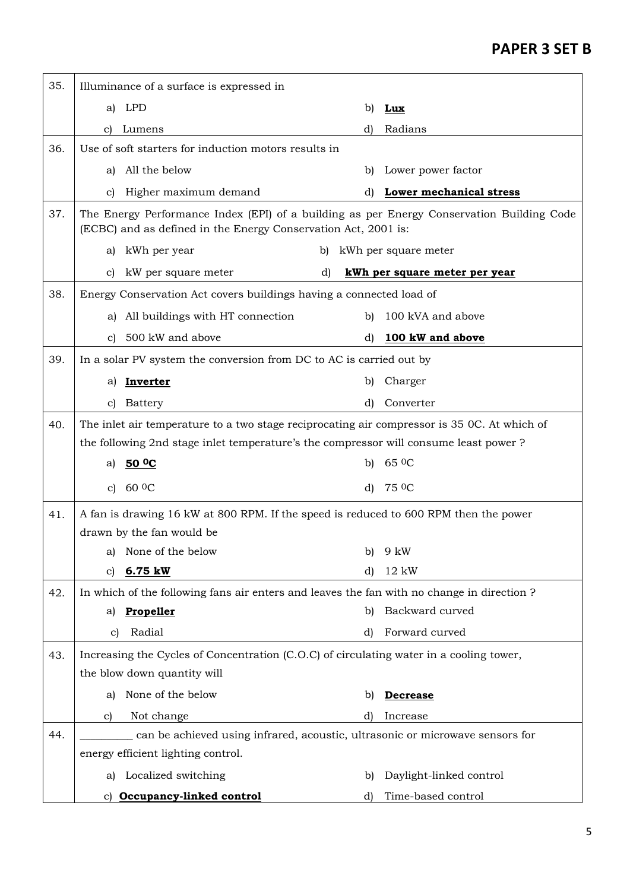| 35. |                                                                                                                                                             | Illuminance of a surface is expressed in                                                    |    |              |                               |  |
|-----|-------------------------------------------------------------------------------------------------------------------------------------------------------------|---------------------------------------------------------------------------------------------|----|--------------|-------------------------------|--|
|     | a)                                                                                                                                                          | LPD                                                                                         |    | b)           | Lux                           |  |
|     | C)                                                                                                                                                          | Lumens                                                                                      |    | d)           | Radians                       |  |
| 36. | Use of soft starters for induction motors results in                                                                                                        |                                                                                             |    |              |                               |  |
|     | aì                                                                                                                                                          | All the below                                                                               |    | b)           | Lower power factor            |  |
|     | c)                                                                                                                                                          | Higher maximum demand                                                                       |    | d)           | Lower mechanical stress       |  |
| 37. | The Energy Performance Index (EPI) of a building as per Energy Conservation Building Code<br>(ECBC) and as defined in the Energy Conservation Act, 2001 is: |                                                                                             |    |              |                               |  |
|     | a)                                                                                                                                                          | kWh per year                                                                                | b) |              | kWh per square meter          |  |
|     | C)                                                                                                                                                          | kW per square meter                                                                         | d) |              | kWh per square meter per year |  |
| 38. |                                                                                                                                                             | Energy Conservation Act covers buildings having a connected load of                         |    |              |                               |  |
|     | al                                                                                                                                                          | All buildings with HT connection                                                            |    | b)           | 100 kVA and above             |  |
|     | C)                                                                                                                                                          | 500 kW and above                                                                            |    | d)           | 100 kW and above              |  |
| 39. |                                                                                                                                                             | In a solar PV system the conversion from DC to AC is carried out by                         |    |              |                               |  |
|     | a)                                                                                                                                                          | <b>Inverter</b>                                                                             |    | b)           | Charger                       |  |
|     | $\mathbf{C}$                                                                                                                                                | <b>Battery</b>                                                                              |    | $\mathbf{d}$ | Converter                     |  |
| 40. |                                                                                                                                                             | The inlet air temperature to a two stage reciprocating air compressor is 35 OC. At which of |    |              |                               |  |
|     |                                                                                                                                                             | the following 2nd stage inlet temperature's the compressor will consume least power?        |    |              |                               |  |
|     | a)                                                                                                                                                          | 50 <sup>o</sup> C                                                                           |    | b)           | $65\text{ }^0C$               |  |
|     | $\mathbf{c}$                                                                                                                                                | $60\,0C$                                                                                    |    | d)           | 75 <sup>o</sup> C             |  |
| 41. |                                                                                                                                                             | A fan is drawing 16 kW at 800 RPM. If the speed is reduced to 600 RPM then the power        |    |              |                               |  |
|     |                                                                                                                                                             | drawn by the fan would be                                                                   |    |              |                               |  |
|     |                                                                                                                                                             | a) None of the below                                                                        |    |              | b) $9 \text{ kW}$             |  |
|     | C)                                                                                                                                                          | 6.75 kW                                                                                     |    | d)           | 12 kW                         |  |
| 42. |                                                                                                                                                             | In which of the following fans air enters and leaves the fan with no change in direction?   |    |              |                               |  |
|     | a)                                                                                                                                                          | <b>Propeller</b>                                                                            |    | b)           | Backward curved               |  |
|     | C)                                                                                                                                                          | Radial                                                                                      |    | d)           | Forward curved                |  |
| 43. |                                                                                                                                                             | Increasing the Cycles of Concentration (C.O.C) of circulating water in a cooling tower,     |    |              |                               |  |
|     |                                                                                                                                                             | the blow down quantity will                                                                 |    |              |                               |  |
|     | a)                                                                                                                                                          | None of the below                                                                           |    | b)           | <b>Decrease</b>               |  |
|     | $\mathbf{C}$                                                                                                                                                | Not change                                                                                  |    | d)           | Increase                      |  |
| 44. |                                                                                                                                                             | can be achieved using infrared, acoustic, ultrasonic or microwave sensors for               |    |              |                               |  |
|     |                                                                                                                                                             | energy efficient lighting control.                                                          |    |              |                               |  |
|     | a)                                                                                                                                                          | Localized switching                                                                         |    | b)           | Daylight-linked control       |  |
|     | C)                                                                                                                                                          | Occupancy-linked control                                                                    |    | d)           | Time-based control            |  |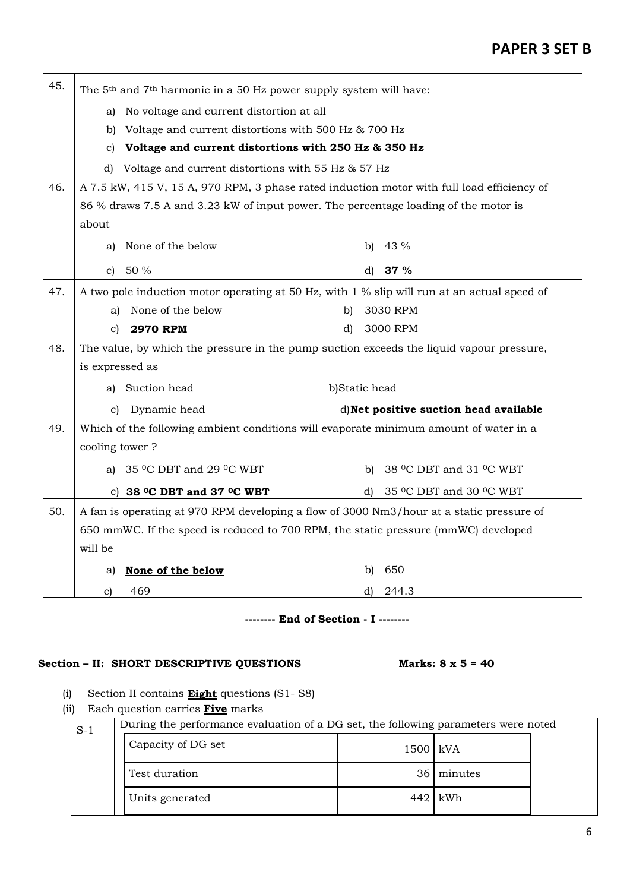| 45. | The 5 <sup>th</sup> and 7 <sup>th</sup> harmonic in a 50 Hz power supply system will have: |                                                                                             |               |    |                                                |  |
|-----|--------------------------------------------------------------------------------------------|---------------------------------------------------------------------------------------------|---------------|----|------------------------------------------------|--|
|     | a)                                                                                         | No voltage and current distortion at all                                                    |               |    |                                                |  |
|     | b)                                                                                         | Voltage and current distortions with 500 Hz & 700 Hz                                        |               |    |                                                |  |
|     | Voltage and current distortions with 250 Hz & 350 Hz<br>C)                                 |                                                                                             |               |    |                                                |  |
|     | d)                                                                                         | Voltage and current distortions with 55 Hz & 57 Hz                                          |               |    |                                                |  |
| 46. |                                                                                            | A 7.5 kW, 415 V, 15 A, 970 RPM, 3 phase rated induction motor with full load efficiency of  |               |    |                                                |  |
|     |                                                                                            | 86 % draws 7.5 A and 3.23 kW of input power. The percentage loading of the motor is         |               |    |                                                |  |
|     | about                                                                                      |                                                                                             |               |    |                                                |  |
|     | a)                                                                                         | None of the below                                                                           |               | b) | 43 %                                           |  |
|     | $\mathbf{c}$                                                                               | 50 %                                                                                        |               | d) | 37 %                                           |  |
| 47. |                                                                                            | A two pole induction motor operating at 50 Hz, with 1 % slip will run at an actual speed of |               |    |                                                |  |
|     | a)                                                                                         | None of the below                                                                           | b)            |    | 3030 RPM                                       |  |
|     | C)                                                                                         | <b>2970 RPM</b>                                                                             | d)            |    | 3000 RPM                                       |  |
| 48. |                                                                                            | The value, by which the pressure in the pump suction exceeds the liquid vapour pressure,    |               |    |                                                |  |
|     | is expressed as                                                                            |                                                                                             |               |    |                                                |  |
|     |                                                                                            |                                                                                             |               |    |                                                |  |
|     | a)                                                                                         | Suction head                                                                                | b)Static head |    |                                                |  |
|     | C)                                                                                         | Dynamic head                                                                                |               |    | d) Net positive suction head available         |  |
| 49. |                                                                                            | Which of the following ambient conditions will evaporate minimum amount of water in a       |               |    |                                                |  |
|     | cooling tower?                                                                             |                                                                                             |               |    |                                                |  |
|     |                                                                                            | a) $35 \degree$ C DBT and 29 $\degree$ C WBT                                                |               |    | b) 38 $^{\circ}$ C DBT and 31 $^{\circ}$ C WBT |  |
|     |                                                                                            | c) $38$ °C DBT and 37 °C WBT                                                                |               | d) | 35 °C DBT and 30 °C WBT                        |  |
| 50. |                                                                                            | A fan is operating at 970 RPM developing a flow of 3000 Nm3/hour at a static pressure of    |               |    |                                                |  |
|     |                                                                                            | 650 mmWC. If the speed is reduced to 700 RPM, the static pressure (mmWC) developed          |               |    |                                                |  |
|     | will be                                                                                    |                                                                                             |               |    |                                                |  |
|     | a)                                                                                         | None of the below                                                                           |               | b) | 650                                            |  |

## **-------- End of Section - I --------**

## Section – II: SHORT DESCRIPTIVE QUESTIONS Marks: 8 x 5 = 40

- (i) Section II contains **Eight** questions (S1- S8)
- (ii) Each question carries **Five** marks

| $S-1$ | During the performance evaluation of a DG set, the following parameters were noted |          |            |  |  |  |  |  |
|-------|------------------------------------------------------------------------------------|----------|------------|--|--|--|--|--|
|       | Capacity of DG set                                                                 | 1500 kVA |            |  |  |  |  |  |
|       | Test duration                                                                      |          | 36 minutes |  |  |  |  |  |
|       | Units generated                                                                    |          | 442 kWh    |  |  |  |  |  |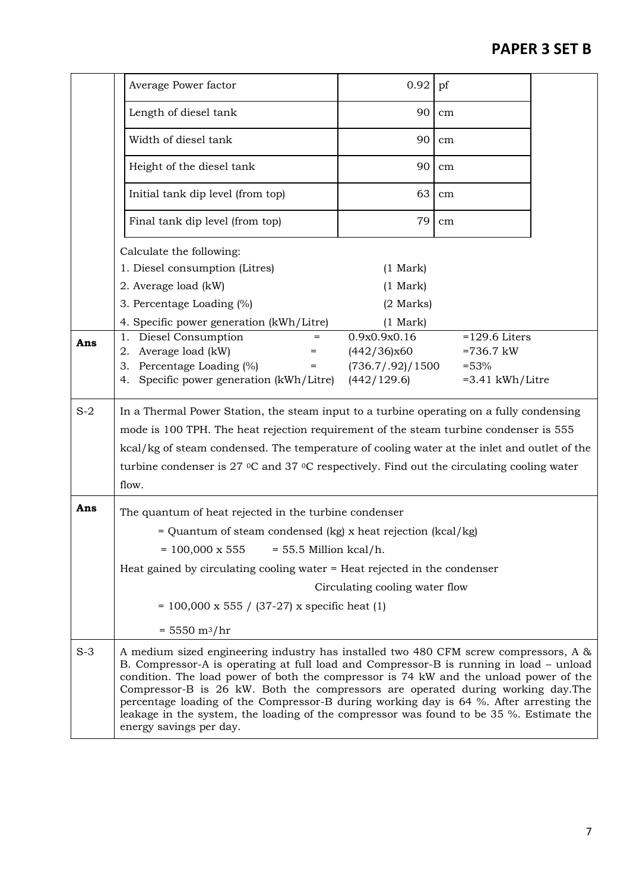|       | Average Power factor                                                                                                                                                                                                                                                                                                                                                                                                                                                                                                                                                        | 0.92                           | pf                |  |
|-------|-----------------------------------------------------------------------------------------------------------------------------------------------------------------------------------------------------------------------------------------------------------------------------------------------------------------------------------------------------------------------------------------------------------------------------------------------------------------------------------------------------------------------------------------------------------------------------|--------------------------------|-------------------|--|
|       | Length of diesel tank                                                                                                                                                                                                                                                                                                                                                                                                                                                                                                                                                       | 90                             | cm                |  |
|       | Width of diesel tank                                                                                                                                                                                                                                                                                                                                                                                                                                                                                                                                                        | 90                             | cm                |  |
|       | Height of the diesel tank                                                                                                                                                                                                                                                                                                                                                                                                                                                                                                                                                   | 90                             | cm                |  |
|       | Initial tank dip level (from top)                                                                                                                                                                                                                                                                                                                                                                                                                                                                                                                                           | 63                             | cm                |  |
|       | Final tank dip level (from top)                                                                                                                                                                                                                                                                                                                                                                                                                                                                                                                                             | 79                             | cm                |  |
|       | Calculate the following:                                                                                                                                                                                                                                                                                                                                                                                                                                                                                                                                                    |                                |                   |  |
|       | 1. Diesel consumption (Litres)                                                                                                                                                                                                                                                                                                                                                                                                                                                                                                                                              | (1 Mark)                       |                   |  |
|       | 2. Average load (kW)                                                                                                                                                                                                                                                                                                                                                                                                                                                                                                                                                        | $(1 \text{ Mark})$             |                   |  |
|       | 3. Percentage Loading (%)                                                                                                                                                                                                                                                                                                                                                                                                                                                                                                                                                   | $(2$ Marks)                    |                   |  |
|       | 4. Specific power generation (kWh/Litre)                                                                                                                                                                                                                                                                                                                                                                                                                                                                                                                                    | (1 Mark)                       |                   |  |
| Ans   | Diesel Consumption<br>1.<br>$=$                                                                                                                                                                                                                                                                                                                                                                                                                                                                                                                                             | 0.9x0.9x0.16                   | $=129.6$ Liters   |  |
|       | Average load (kW)<br>2.<br>=                                                                                                                                                                                                                                                                                                                                                                                                                                                                                                                                                | (442/36)x60                    | $=736.7$ kW       |  |
|       | 3. Percentage Loading (%)<br>$=$                                                                                                                                                                                                                                                                                                                                                                                                                                                                                                                                            | (736.7/0.92)/1500              | $=53%$            |  |
|       | Specific power generation (kWh/Litre)<br>4.                                                                                                                                                                                                                                                                                                                                                                                                                                                                                                                                 | (442/129.6)                    | $=3.41$ kWh/Litre |  |
| $S-2$ | In a Thermal Power Station, the steam input to a turbine operating on a fully condensing                                                                                                                                                                                                                                                                                                                                                                                                                                                                                    |                                |                   |  |
|       | mode is 100 TPH. The heat rejection requirement of the steam turbine condenser is 555                                                                                                                                                                                                                                                                                                                                                                                                                                                                                       |                                |                   |  |
|       | kcal/kg of steam condensed. The temperature of cooling water at the inlet and outlet of the                                                                                                                                                                                                                                                                                                                                                                                                                                                                                 |                                |                   |  |
|       | turbine condenser is 27 °C and 37 °C respectively. Find out the circulating cooling water                                                                                                                                                                                                                                                                                                                                                                                                                                                                                   |                                |                   |  |
|       | flow.                                                                                                                                                                                                                                                                                                                                                                                                                                                                                                                                                                       |                                |                   |  |
| Ans   |                                                                                                                                                                                                                                                                                                                                                                                                                                                                                                                                                                             |                                |                   |  |
|       | The quantum of heat rejected in the turbine condenser                                                                                                                                                                                                                                                                                                                                                                                                                                                                                                                       |                                |                   |  |
|       | = Quantum of steam condensed (kg) x heat rejection (kcal/kg)                                                                                                                                                                                                                                                                                                                                                                                                                                                                                                                |                                |                   |  |
|       | $= 55.5$ Million kcal/h.<br>$= 100,000 \times 555$                                                                                                                                                                                                                                                                                                                                                                                                                                                                                                                          |                                |                   |  |
|       | Heat gained by circulating cooling water = Heat rejected in the condenser                                                                                                                                                                                                                                                                                                                                                                                                                                                                                                   |                                |                   |  |
|       |                                                                                                                                                                                                                                                                                                                                                                                                                                                                                                                                                                             | Circulating cooling water flow |                   |  |
|       | $= 100,000 \times 555 / (37-27) \times$ specific heat (1)                                                                                                                                                                                                                                                                                                                                                                                                                                                                                                                   |                                |                   |  |
|       | $= 5550 \text{ m}^3/\text{hr}$                                                                                                                                                                                                                                                                                                                                                                                                                                                                                                                                              |                                |                   |  |
| $S-3$ | A medium sized engineering industry has installed two 480 CFM screw compressors, A &<br>B. Compressor-A is operating at full load and Compressor-B is running in load – unload<br>condition. The load power of both the compressor is 74 kW and the unload power of the<br>Compressor-B is 26 kW. Both the compressors are operated during working day. The<br>percentage loading of the Compressor-B during working day is 64 %. After arresting the<br>leakage in the system, the loading of the compressor was found to be 35 %. Estimate the<br>energy savings per day. |                                |                   |  |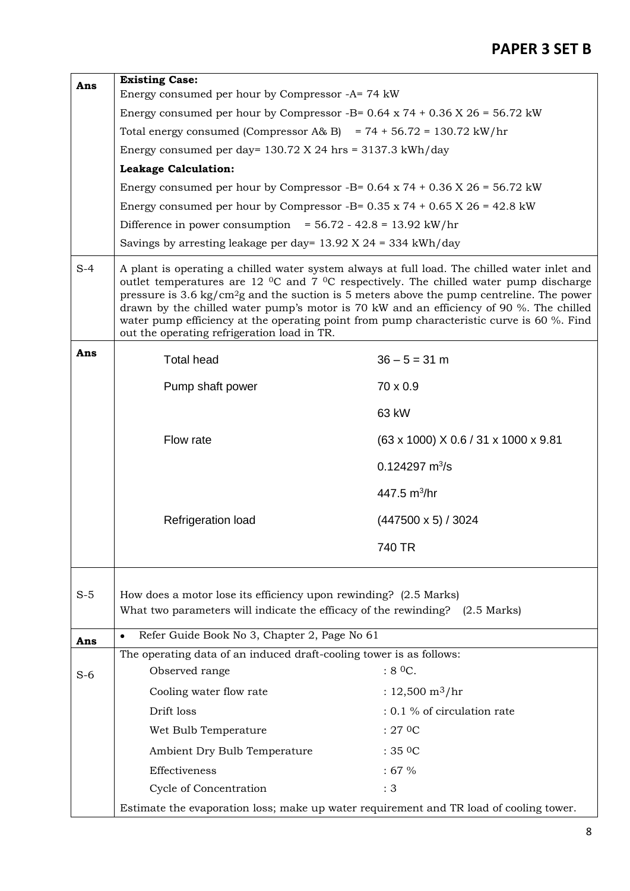| Ans   | <b>Existing Case:</b>                                                                                                                                                                                                                                                                                                                                                                                                                                                                                                                                 |                                      |  |  |  |  |  |  |
|-------|-------------------------------------------------------------------------------------------------------------------------------------------------------------------------------------------------------------------------------------------------------------------------------------------------------------------------------------------------------------------------------------------------------------------------------------------------------------------------------------------------------------------------------------------------------|--------------------------------------|--|--|--|--|--|--|
|       | Energy consumed per hour by Compressor -A= 74 kW                                                                                                                                                                                                                                                                                                                                                                                                                                                                                                      |                                      |  |  |  |  |  |  |
|       | Energy consumed per hour by Compressor -B= $0.64 \times 74 + 0.36 \times 26 = 56.72 \text{ kW}$<br>Total energy consumed (Compressor A& B) = $74 + 56.72 = 130.72$ kW/hr                                                                                                                                                                                                                                                                                                                                                                              |                                      |  |  |  |  |  |  |
|       | Energy consumed per day= $130.72$ X 24 hrs = $3137.3$ kWh/day                                                                                                                                                                                                                                                                                                                                                                                                                                                                                         |                                      |  |  |  |  |  |  |
|       | <b>Leakage Calculation:</b>                                                                                                                                                                                                                                                                                                                                                                                                                                                                                                                           |                                      |  |  |  |  |  |  |
|       | Energy consumed per hour by Compressor -B= $0.64 \times 74 + 0.36 \times 26 = 56.72 \text{ kW}$                                                                                                                                                                                                                                                                                                                                                                                                                                                       |                                      |  |  |  |  |  |  |
|       | Energy consumed per hour by Compressor -B= $0.35 \times 74 + 0.65 \times 26 = 42.8 \text{ kW}$                                                                                                                                                                                                                                                                                                                                                                                                                                                        |                                      |  |  |  |  |  |  |
|       | Difference in power consumption = $56.72 - 42.8 = 13.92$ kW/hr                                                                                                                                                                                                                                                                                                                                                                                                                                                                                        |                                      |  |  |  |  |  |  |
|       | Savings by arresting leakage per day= $13.92$ X 24 = 334 kWh/day                                                                                                                                                                                                                                                                                                                                                                                                                                                                                      |                                      |  |  |  |  |  |  |
| $S-4$ | A plant is operating a chilled water system always at full load. The chilled water inlet and<br>outlet temperatures are 12 $\rm{^0C}$ and 7 $\rm{^0C}$ respectively. The chilled water pump discharge<br>pressure is 3.6 kg/cm <sup>2</sup> g and the suction is 5 meters above the pump centreline. The power<br>drawn by the chilled water pump's motor is 70 kW and an efficiency of 90 %. The chilled<br>water pump efficiency at the operating point from pump characteristic curve is 60 %. Find<br>out the operating refrigeration load in TR. |                                      |  |  |  |  |  |  |
| Ans   | <b>Total head</b>                                                                                                                                                                                                                                                                                                                                                                                                                                                                                                                                     | $36 - 5 = 31$ m                      |  |  |  |  |  |  |
|       | Pump shaft power                                                                                                                                                                                                                                                                                                                                                                                                                                                                                                                                      | 70 x 0.9                             |  |  |  |  |  |  |
|       |                                                                                                                                                                                                                                                                                                                                                                                                                                                                                                                                                       | 63 kW                                |  |  |  |  |  |  |
|       | Flow rate                                                                                                                                                                                                                                                                                                                                                                                                                                                                                                                                             | (63 x 1000) X 0.6 / 31 x 1000 x 9.81 |  |  |  |  |  |  |
|       |                                                                                                                                                                                                                                                                                                                                                                                                                                                                                                                                                       | $0.124297 \text{ m}^3\text{/s}$      |  |  |  |  |  |  |
|       |                                                                                                                                                                                                                                                                                                                                                                                                                                                                                                                                                       | 447.5 $m^3$ /hr                      |  |  |  |  |  |  |
|       | Refrigeration load                                                                                                                                                                                                                                                                                                                                                                                                                                                                                                                                    | $(447500 \times 5) / 3024$           |  |  |  |  |  |  |
|       |                                                                                                                                                                                                                                                                                                                                                                                                                                                                                                                                                       | 740 TR                               |  |  |  |  |  |  |
| $S-5$ | How does a motor lose its efficiency upon rewinding? (2.5 Marks)<br>What two parameters will indicate the efficacy of the rewinding? (2.5 Marks)                                                                                                                                                                                                                                                                                                                                                                                                      |                                      |  |  |  |  |  |  |
| Ans   | Refer Guide Book No 3, Chapter 2, Page No 61<br>$\bullet$                                                                                                                                                                                                                                                                                                                                                                                                                                                                                             |                                      |  |  |  |  |  |  |
|       | The operating data of an induced draft-cooling tower is as follows:                                                                                                                                                                                                                                                                                                                                                                                                                                                                                   |                                      |  |  |  |  |  |  |
| $S-6$ | Observed range                                                                                                                                                                                                                                                                                                                                                                                                                                                                                                                                        | $:8^{\circ}$ C.                      |  |  |  |  |  |  |
|       | Cooling water flow rate                                                                                                                                                                                                                                                                                                                                                                                                                                                                                                                               | : $12,500 \text{ m}^3/\text{hr}$     |  |  |  |  |  |  |
|       | Drift loss                                                                                                                                                                                                                                                                                                                                                                                                                                                                                                                                            | $: 0.1$ % of circulation rate        |  |  |  |  |  |  |
|       | Wet Bulb Temperature                                                                                                                                                                                                                                                                                                                                                                                                                                                                                                                                  | $:27$ OC                             |  |  |  |  |  |  |
|       | Ambient Dry Bulb Temperature                                                                                                                                                                                                                                                                                                                                                                                                                                                                                                                          | :350C                                |  |  |  |  |  |  |
|       | Effectiveness                                                                                                                                                                                                                                                                                                                                                                                                                                                                                                                                         | :67%                                 |  |  |  |  |  |  |
|       | Cycle of Concentration                                                                                                                                                                                                                                                                                                                                                                                                                                                                                                                                | :3                                   |  |  |  |  |  |  |
|       | Estimate the evaporation loss; make up water requirement and TR load of cooling tower.                                                                                                                                                                                                                                                                                                                                                                                                                                                                |                                      |  |  |  |  |  |  |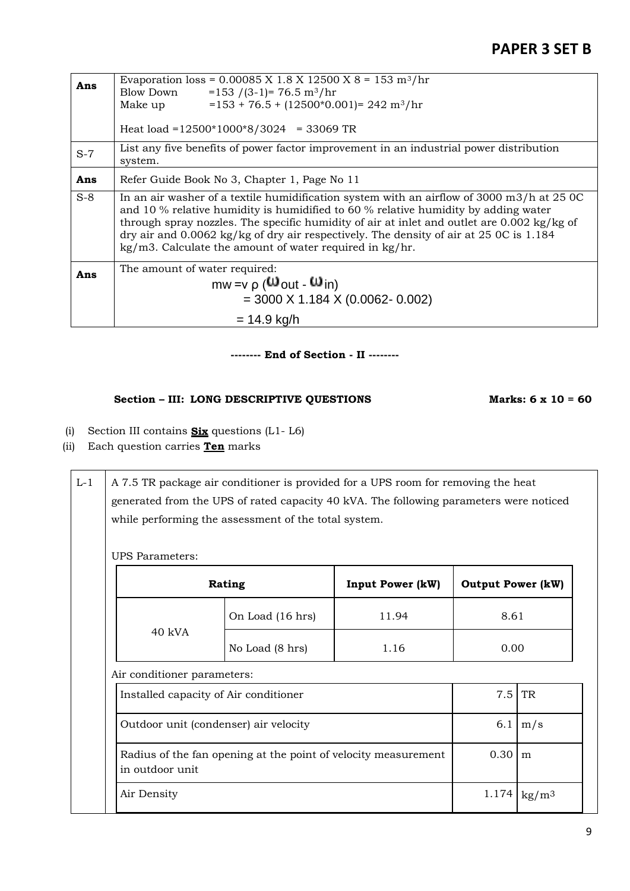| Ans   | Evaporation loss = $0.00085$ X 1.8 X 12500 X 8 = 153 m <sup>3</sup> /hr<br>Blow Down<br>$= 153$ /(3-1)= 76.5 m <sup>3</sup> /hr<br>$= 153 + 76.5 + (12500*0.001) = 242 \text{ m}^3/\text{hr}$<br>Make up<br>Heat load = $12500*1000*8/3024$ = 33069 TR                                                                                                                                                                                                   |
|-------|----------------------------------------------------------------------------------------------------------------------------------------------------------------------------------------------------------------------------------------------------------------------------------------------------------------------------------------------------------------------------------------------------------------------------------------------------------|
| $S-7$ | List any five benefits of power factor improvement in an industrial power distribution<br>system.                                                                                                                                                                                                                                                                                                                                                        |
| Ans   | Refer Guide Book No 3, Chapter 1, Page No 11                                                                                                                                                                                                                                                                                                                                                                                                             |
| $S-8$ | In an air washer of a textile humidification system with an airflow of 3000 m3/h at 25 0C<br>and 10 % relative humidity is humidified to 60 % relative humidity by adding water<br>through spray nozzles. The specific humidity of air at inlet and outlet are $0.002 \text{ kg/kg}$ of<br>dry air and $0.0062$ kg/kg of dry air respectively. The density of air at 25 OC is 1.184<br>$\text{kg/m3}$ . Calculate the amount of water required in kg/hr. |
| Ans   | The amount of water required:<br>$mw = v \rho$ ( $W_{\text{out}}$ - $W_{\text{in}}$ )<br>$=$ 3000 X 1.184 X (0.0062- 0.002)                                                                                                                                                                                                                                                                                                                              |
|       | $= 14.9$ kg/h                                                                                                                                                                                                                                                                                                                                                                                                                                            |

### **-------- End of Section - II --------**

## **Section – III: LONG DESCRIPTIVE QUESTIONS Marks: 6 x 10 = 60**

- (i) Section III contains **Six** questions (L1- L6)
- (ii) Each question carries **Ten** marks

L-1  $\parallel$  A 7.5 TR package air conditioner is provided for a UPS room for removing the heat generated from the UPS of rated capacity 40 kVA. The following parameters were noticed while performing the assessment of the total system.

UPS Parameters:

| Rating                                                                            |                                       | <b>Input Power (kW)</b> | <b>Output Power (kW)</b> |           |
|-----------------------------------------------------------------------------------|---------------------------------------|-------------------------|--------------------------|-----------|
|                                                                                   | 11.94<br>8.61<br>On Load (16 hrs)     |                         |                          |           |
| $40$ kVA                                                                          | No Load (8 hrs)                       | 1.16                    | 0.00                     |           |
| Air conditioner parameters:                                                       |                                       |                         |                          |           |
|                                                                                   | Installed capacity of Air conditioner |                         | 7.5                      | <b>TR</b> |
| Outdoor unit (condenser) air velocity                                             | 6.1                                   | m/s                     |                          |           |
| Radius of the fan opening at the point of velocity measurement<br>in outdoor unit |                                       |                         | 0.30                     | m         |
| Air Density                                                                       |                                       |                         |                          |           |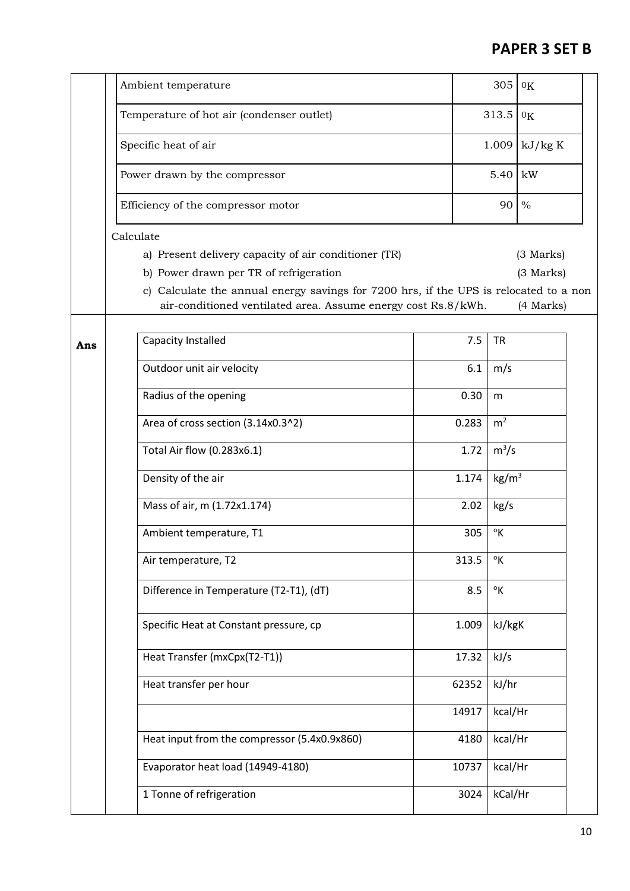|     | Ambient temperature                                                                                                                                    |      |       | 305               | 0 <sub>K</sub> |  |
|-----|--------------------------------------------------------------------------------------------------------------------------------------------------------|------|-------|-------------------|----------------|--|
|     | Temperature of hot air (condenser outlet)                                                                                                              |      |       | 313.5             | 0 <sub>K</sub> |  |
|     | Specific heat of air                                                                                                                                   |      | 1.009 |                   | kJ/kg K        |  |
|     | Power drawn by the compressor                                                                                                                          | 5.40 |       | kW                |                |  |
|     | Efficiency of the compressor motor                                                                                                                     |      | 90    |                   | $\%$           |  |
|     | Calculate                                                                                                                                              |      |       |                   |                |  |
|     | a) Present delivery capacity of air conditioner (TR)                                                                                                   |      |       |                   | (3 Marks)      |  |
|     | b) Power drawn per TR of refrigeration                                                                                                                 |      |       |                   | (3 Marks)      |  |
|     | c) Calculate the annual energy savings for 7200 hrs, if the UPS is relocated to a non<br>air-conditioned ventilated area. Assume energy cost Rs.8/kWh. |      |       |                   | (4 Marks)      |  |
|     |                                                                                                                                                        |      |       |                   |                |  |
| Ans | Capacity Installed                                                                                                                                     |      | 7.5   | <b>TR</b>         |                |  |
|     | Outdoor unit air velocity                                                                                                                              |      | 6.1   | m/s               |                |  |
|     | Radius of the opening                                                                                                                                  |      | 0.30  | m                 |                |  |
|     | Area of cross section (3.14x0.3^2)                                                                                                                     |      | 0.283 | m <sup>2</sup>    |                |  |
|     | Total Air flow (0.283x6.1)                                                                                                                             |      | 1.72  | $m^3/s$           |                |  |
|     | Density of the air                                                                                                                                     |      | 1.174 | kg/m <sup>3</sup> |                |  |
|     | Mass of air, m (1.72x1.174)                                                                                                                            |      | 2.02  | kg/s              |                |  |
|     | Ambient temperature, T1                                                                                                                                |      | 305   | $\rm ^{o}K$       |                |  |
|     | Air temperature, T2                                                                                                                                    |      | 313.5 | $\mathcal{O}_{K}$ |                |  |
|     | Difference in Temperature (T2-T1), (dT)                                                                                                                |      | 8.5   | $\mathsf{R}$      |                |  |
|     | Specific Heat at Constant pressure, cp                                                                                                                 |      | 1.009 | kJ/kgK            |                |  |
|     | Heat Transfer (mxCpx(T2-T1))                                                                                                                           |      | 17.32 | kJ/s              |                |  |
|     | Heat transfer per hour                                                                                                                                 |      | 62352 | kJ/hr             |                |  |
|     |                                                                                                                                                        |      | 14917 | kcal/Hr           |                |  |
|     | Heat input from the compressor (5.4x0.9x860)                                                                                                           |      | 4180  | kcal/Hr           |                |  |
|     | Evaporator heat load (14949-4180)                                                                                                                      |      | 10737 | kcal/Hr           |                |  |
|     | 1 Tonne of refrigeration                                                                                                                               |      | 3024  | kCal/Hr           |                |  |
|     |                                                                                                                                                        |      |       |                   |                |  |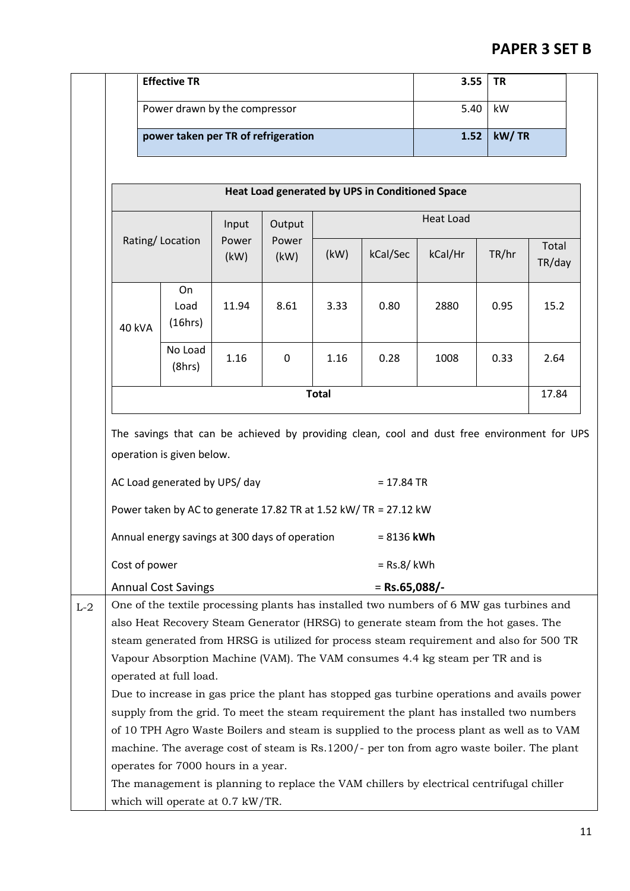|       |                                                                                                                                                                          | <b>Effective TR</b>                 |       |       |              |                                                                  | 3.55                                                                                       | <b>TR</b> |        |  |
|-------|--------------------------------------------------------------------------------------------------------------------------------------------------------------------------|-------------------------------------|-------|-------|--------------|------------------------------------------------------------------|--------------------------------------------------------------------------------------------|-----------|--------|--|
|       |                                                                                                                                                                          | Power drawn by the compressor       |       |       |              | 5.40                                                             | kW                                                                                         |           |        |  |
|       |                                                                                                                                                                          |                                     |       |       |              |                                                                  | kW/TR<br>1.52                                                                              |           |        |  |
|       |                                                                                                                                                                          | power taken per TR of refrigeration |       |       |              |                                                                  |                                                                                            |           |        |  |
|       |                                                                                                                                                                          |                                     |       |       |              |                                                                  |                                                                                            |           |        |  |
|       | Heat Load generated by UPS in Conditioned Space                                                                                                                          |                                     |       |       |              |                                                                  |                                                                                            |           |        |  |
|       |                                                                                                                                                                          | Input<br>Output                     |       |       |              | <b>Heat Load</b>                                                 |                                                                                            |           |        |  |
|       | Rating/Location                                                                                                                                                          |                                     | Power | Power |              |                                                                  |                                                                                            |           | Total  |  |
|       |                                                                                                                                                                          |                                     | (kW)  | (kW)  | (kW)         | kCal/Sec                                                         | kCal/Hr                                                                                    | TR/hr     | TR/day |  |
|       |                                                                                                                                                                          |                                     |       |       |              |                                                                  |                                                                                            |           |        |  |
|       |                                                                                                                                                                          | On<br>Load                          | 11.94 | 8.61  | 3.33         | 0.80                                                             | 2880                                                                                       | 0.95      | 15.2   |  |
|       | <b>40 kVA</b>                                                                                                                                                            | (16hrs)                             |       |       |              |                                                                  |                                                                                            |           |        |  |
|       |                                                                                                                                                                          | No Load                             |       |       |              |                                                                  |                                                                                            |           |        |  |
|       |                                                                                                                                                                          | (8hrs)                              | 1.16  | 0     | 1.16         | 0.28                                                             | 1008                                                                                       | 0.33      | 2.64   |  |
|       |                                                                                                                                                                          |                                     |       |       | <b>Total</b> |                                                                  |                                                                                            |           | 17.84  |  |
|       |                                                                                                                                                                          |                                     |       |       |              |                                                                  |                                                                                            |           |        |  |
|       | The savings that can be achieved by providing clean, cool and dust free environment for UPS<br>operation is given below.<br>AC Load generated by UPS/day<br>$= 17.84$ TR |                                     |       |       |              |                                                                  |                                                                                            |           |        |  |
|       |                                                                                                                                                                          |                                     |       |       |              |                                                                  |                                                                                            |           |        |  |
|       |                                                                                                                                                                          |                                     |       |       |              |                                                                  |                                                                                            |           |        |  |
|       |                                                                                                                                                                          |                                     |       |       |              |                                                                  |                                                                                            |           |        |  |
|       |                                                                                                                                                                          |                                     |       |       |              | Power taken by AC to generate 17.82 TR at 1.52 kW/ TR = 27.12 kW |                                                                                            |           |        |  |
|       | Annual energy savings at 300 days of operation<br>$= 8136$ kWh                                                                                                           |                                     |       |       |              |                                                                  |                                                                                            |           |        |  |
|       | Cost of power<br>$=$ Rs.8/ kWh                                                                                                                                           |                                     |       |       |              |                                                                  |                                                                                            |           |        |  |
|       |                                                                                                                                                                          | <b>Annual Cost Savings</b>          |       |       |              | $=$ Rs.65,088/-                                                  |                                                                                            |           |        |  |
| $L-2$ |                                                                                                                                                                          |                                     |       |       |              |                                                                  | One of the textile processing plants has installed two numbers of 6 MW gas turbines and    |           |        |  |
|       |                                                                                                                                                                          |                                     |       |       |              |                                                                  | also Heat Recovery Steam Generator (HRSG) to generate steam from the hot gases. The        |           |        |  |
|       |                                                                                                                                                                          |                                     |       |       |              |                                                                  | steam generated from HRSG is utilized for process steam requirement and also for 500 TR    |           |        |  |
|       |                                                                                                                                                                          |                                     |       |       |              |                                                                  | Vapour Absorption Machine (VAM). The VAM consumes 4.4 kg steam per TR and is               |           |        |  |
|       |                                                                                                                                                                          | operated at full load.              |       |       |              |                                                                  |                                                                                            |           |        |  |
|       |                                                                                                                                                                          |                                     |       |       |              |                                                                  | Due to increase in gas price the plant has stopped gas turbine operations and avails power |           |        |  |
|       |                                                                                                                                                                          |                                     |       |       |              |                                                                  | supply from the grid. To meet the steam requirement the plant has installed two numbers    |           |        |  |
|       |                                                                                                                                                                          |                                     |       |       |              |                                                                  | of 10 TPH Agro Waste Boilers and steam is supplied to the process plant as well as to VAM  |           |        |  |
|       |                                                                                                                                                                          |                                     |       |       |              |                                                                  | machine. The average cost of steam is Rs.1200/- per ton from agro waste boiler. The plant  |           |        |  |
|       |                                                                                                                                                                          | operates for 7000 hours in a year.  |       |       |              |                                                                  |                                                                                            |           |        |  |
|       | The management is planning to replace the VAM chillers by electrical centrifugal chiller                                                                                 |                                     |       |       |              |                                                                  |                                                                                            |           |        |  |
|       |                                                                                                                                                                          | which will operate at 0.7 kW/TR.    |       |       |              |                                                                  |                                                                                            |           |        |  |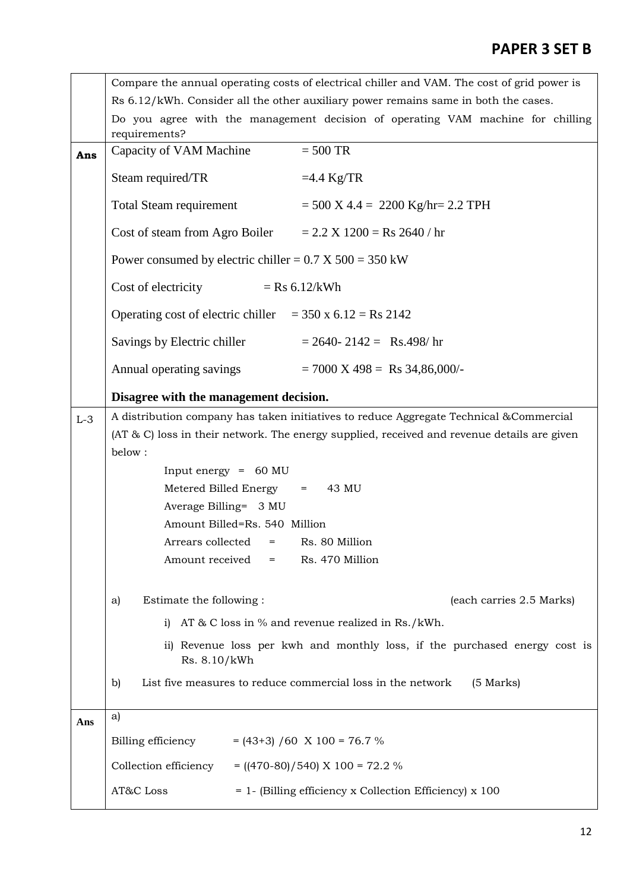|       | Compare the annual operating costs of electrical chiller and VAM. The cost of grid power is      |  |  |  |  |  |  |
|-------|--------------------------------------------------------------------------------------------------|--|--|--|--|--|--|
|       | Rs 6.12/kWh. Consider all the other auxiliary power remains same in both the cases.              |  |  |  |  |  |  |
|       | Do you agree with the management decision of operating VAM machine for chilling<br>requirements? |  |  |  |  |  |  |
| Ans   | Capacity of VAM Machine<br>$=$ 500 TR                                                            |  |  |  |  |  |  |
|       | Steam required/TR<br>$=4.4$ Kg/TR                                                                |  |  |  |  |  |  |
|       | Total Steam requirement $= 500 \text{ X } 4.4 = 2200 \text{ Kg/hr} = 2.2 \text{ TPH}$            |  |  |  |  |  |  |
|       | Cost of steam from Agro Boiler $= 2.2 X 1200 = Rs 2640 / hr$                                     |  |  |  |  |  |  |
|       | Power consumed by electric chiller = $0.7 \text{ X } 500 = 350 \text{ kW}$                       |  |  |  |  |  |  |
|       | Cost of electricity $=$ Rs 6.12/kWh                                                              |  |  |  |  |  |  |
|       | Operating cost of electric chiller $=$ 350 x 6.12 = Rs 2142                                      |  |  |  |  |  |  |
|       | Savings by Electric chiller $= 2640 - 2142 =$ Rs.498/hr                                          |  |  |  |  |  |  |
|       | Annual operating savings $= 7000 \text{ X } 498 = \text{Rs } 34,86,000/$                         |  |  |  |  |  |  |
|       | Disagree with the management decision.                                                           |  |  |  |  |  |  |
| $L-3$ | A distribution company has taken initiatives to reduce Aggregate Technical & Commercial          |  |  |  |  |  |  |
|       | (AT & C) loss in their network. The energy supplied, received and revenue details are given      |  |  |  |  |  |  |
|       | below:                                                                                           |  |  |  |  |  |  |
|       | Input energy = $60 \text{ MU}$                                                                   |  |  |  |  |  |  |
|       | Metered Billed Energy = 43 MU                                                                    |  |  |  |  |  |  |
|       | Average Billing= 3 MU                                                                            |  |  |  |  |  |  |
|       | Amount Billed=Rs. 540 Million                                                                    |  |  |  |  |  |  |
|       | Rs. 80 Million<br>Arrears collected<br>$=$ $\qquad$                                              |  |  |  |  |  |  |
|       | Amount received<br>Rs. 470 Million<br>$=$                                                        |  |  |  |  |  |  |
|       | Estimate the following :<br>(each carries 2.5 Marks)<br>a)                                       |  |  |  |  |  |  |
|       | AT $\&$ C loss in $\%$ and revenue realized in Rs./kWh.<br>i                                     |  |  |  |  |  |  |
|       | ii) Revenue loss per kwh and monthly loss, if the purchased energy cost is                       |  |  |  |  |  |  |
|       | Rs. 8.10/kWh                                                                                     |  |  |  |  |  |  |
|       | List five measures to reduce commercial loss in the network<br>(5 Marks)<br>b)                   |  |  |  |  |  |  |
| Ans   | a)                                                                                               |  |  |  |  |  |  |
|       | Billing efficiency $= (43+3) / 60 \text{ X } 100 = 76.7 \%$                                      |  |  |  |  |  |  |
|       | Collection efficiency = $((470-80)/540)$ X 100 = 72.2 %                                          |  |  |  |  |  |  |
|       | AT&C Loss<br>= 1- (Billing efficiency x Collection Efficiency) x 100                             |  |  |  |  |  |  |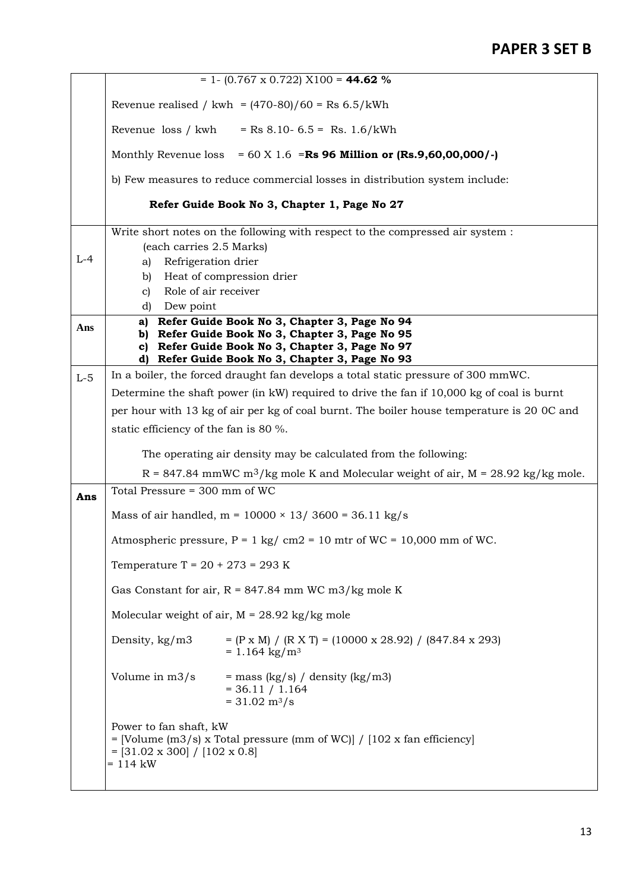|       | $= 1 - (0.767 \times 0.722) \times 100 = 44.62$ %                                                                                                               |                                                                                                             |  |  |  |  |  |
|-------|-----------------------------------------------------------------------------------------------------------------------------------------------------------------|-------------------------------------------------------------------------------------------------------------|--|--|--|--|--|
|       | Revenue realised / kwh = $(470-80)/60 =$ Rs 6.5/kWh                                                                                                             |                                                                                                             |  |  |  |  |  |
|       | Revenue loss / kwh<br>$=$ Rs 8.10-6.5 = Rs. 1.6/kWh                                                                                                             |                                                                                                             |  |  |  |  |  |
|       | Monthly Revenue loss<br>$= 60$ X 1.6 = Rs 96 Million or (Rs.9,60,00,000/-)                                                                                      |                                                                                                             |  |  |  |  |  |
|       | b) Few measures to reduce commercial losses in distribution system include:                                                                                     |                                                                                                             |  |  |  |  |  |
|       | Refer Guide Book No 3, Chapter 1, Page No 27                                                                                                                    |                                                                                                             |  |  |  |  |  |
|       |                                                                                                                                                                 | Write short notes on the following with respect to the compressed air system :                              |  |  |  |  |  |
| $L-4$ | (each carries 2.5 Marks)                                                                                                                                        |                                                                                                             |  |  |  |  |  |
|       | Refrigeration drier<br>a)                                                                                                                                       |                                                                                                             |  |  |  |  |  |
|       | Heat of compression drier<br>b)<br>Role of air receiver                                                                                                         |                                                                                                             |  |  |  |  |  |
|       | $\mathbf{c}$<br>Dew point<br>d)                                                                                                                                 |                                                                                                             |  |  |  |  |  |
|       | a)                                                                                                                                                              | Refer Guide Book No 3, Chapter 3, Page No 94                                                                |  |  |  |  |  |
| Ans   | Refer Guide Book No 3, Chapter 3, Page No 95<br>b)                                                                                                              |                                                                                                             |  |  |  |  |  |
|       | c)                                                                                                                                                              | Refer Guide Book No 3, Chapter 3, Page No 97                                                                |  |  |  |  |  |
|       | Refer Guide Book No 3, Chapter 3, Page No 93<br>d)                                                                                                              |                                                                                                             |  |  |  |  |  |
| $L-5$ | In a boiler, the forced draught fan develops a total static pressure of 300 mmWC.                                                                               |                                                                                                             |  |  |  |  |  |
|       | Determine the shaft power (in kW) required to drive the fan if 10,000 kg of coal is burnt                                                                       |                                                                                                             |  |  |  |  |  |
|       | per hour with 13 kg of air per kg of coal burnt. The boiler house temperature is 20 OC and                                                                      |                                                                                                             |  |  |  |  |  |
|       | static efficiency of the fan is 80 %.                                                                                                                           |                                                                                                             |  |  |  |  |  |
|       | The operating air density may be calculated from the following:                                                                                                 |                                                                                                             |  |  |  |  |  |
|       | $R = 847.84$ mmWC m <sup>3</sup> /kg mole K and Molecular weight of air, M = 28.92 kg/kg mole.                                                                  |                                                                                                             |  |  |  |  |  |
| Ans   | Total Pressure = 300 mm of WC                                                                                                                                   |                                                                                                             |  |  |  |  |  |
|       | Mass of air handled, $m = 10000 \times 13/3600 = 36.11$ kg/s                                                                                                    |                                                                                                             |  |  |  |  |  |
|       | Atmospheric pressure, $P = 1$ kg/ cm2 = 10 mtr of WC = 10,000 mm of WC.                                                                                         |                                                                                                             |  |  |  |  |  |
|       | Temperature T = $20 + 273 = 293$ K                                                                                                                              |                                                                                                             |  |  |  |  |  |
|       |                                                                                                                                                                 | Gas Constant for air, $R = 847.84$ mm WC m3/kg mole K                                                       |  |  |  |  |  |
|       | Molecular weight of air, $M = 28.92$ kg/kg mole                                                                                                                 |                                                                                                             |  |  |  |  |  |
|       | Density, kg/m3                                                                                                                                                  | $= (P \times M) / (R \times T) = (10000 \times 28.92) / (847.84 \times 293)$<br>$= 1.164$ kg/m <sup>3</sup> |  |  |  |  |  |
|       | Volume in m3/s                                                                                                                                                  | = mass $(kg/s) /$ density $(kg/m3)$<br>$= 36.11 / 1.164$<br>$= 31.02 \text{ m}^3/\text{s}$                  |  |  |  |  |  |
|       | Power to fan shaft, kW<br>= [Volume (m3/s) x Total pressure (mm of WC)] / $[102 \times \text{fan efficiency}]$<br>$=$ [31.02 x 300] / [102 x 0.8]<br>$= 114$ kW |                                                                                                             |  |  |  |  |  |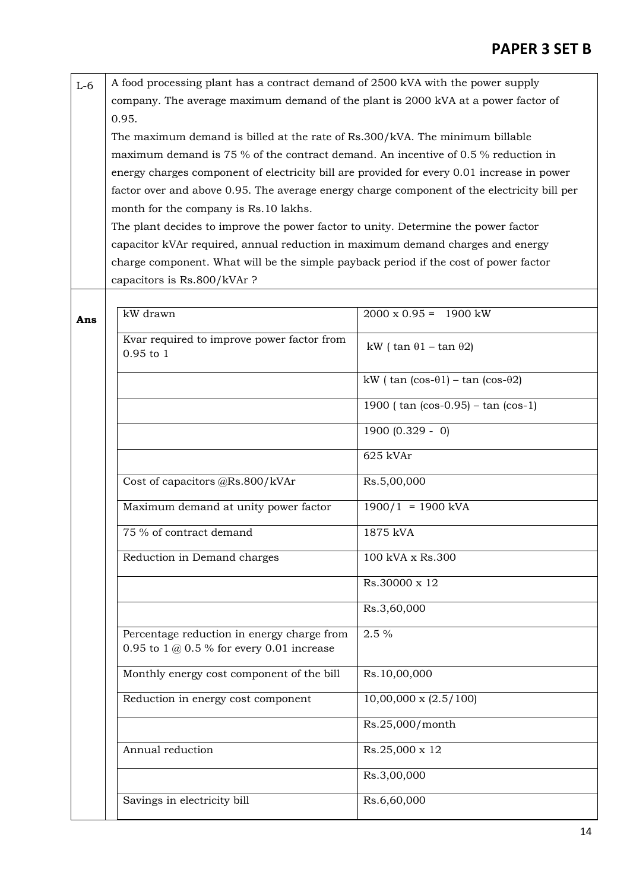| $L-6$ | A food processing plant has a contract demand of 2500 kVA with the power supply   |
|-------|-----------------------------------------------------------------------------------|
|       | company. The average maximum demand of the plant is 2000 kVA at a power factor of |
|       | 0.95.                                                                             |

The maximum demand is billed at the rate of Rs.300/kVA. The minimum billable maximum demand is 75 % of the contract demand. An incentive of 0.5 % reduction in energy charges component of electricity bill are provided for every 0.01 increase in power factor over and above 0.95. The average energy charge component of the electricity bill per month for the company is Rs.10 lakhs.

The plant decides to improve the power factor to unity. Determine the power factor capacitor kVAr required, annual reduction in maximum demand charges and energy charge component. What will be the simple payback period if the cost of power factor capacitors is Rs.800/kVAr ?

| kW drawn                                                                                  | $2000 \times 0.95 = 1900 \text{ kW}$                       |
|-------------------------------------------------------------------------------------------|------------------------------------------------------------|
| Kvar required to improve power factor from<br>$0.95$ to $1$                               | kW ( $\tan \theta 1 - \tan \theta 2$ )                     |
|                                                                                           | kW ( $\tan$ ( $\cos-\theta1$ ) – $\tan$ ( $\cos-\theta2$ ) |
|                                                                                           | 1900 ( $tan (cos-0.95) - tan (cos-1)$ )                    |
|                                                                                           | $1900 (0.329 - 0)$                                         |
|                                                                                           | 625 kVAr                                                   |
| Cost of capacitors @Rs.800/kVAr                                                           | Rs.5,00,000                                                |
| Maximum demand at unity power factor                                                      | $\frac{1900}{1}$ = 1900 kVA                                |
| 75 % of contract demand                                                                   | 1875 kVA                                                   |
| Reduction in Demand charges                                                               | 100 kVA x Rs.300                                           |
|                                                                                           | Rs.30000 x 12                                              |
|                                                                                           | Rs.3,60,000                                                |
| Percentage reduction in energy charge from<br>0.95 to 1 $@$ 0.5 % for every 0.01 increase | $2.5\%$                                                    |
| Monthly energy cost component of the bill                                                 | Rs.10,00,000                                               |
| Reduction in energy cost component                                                        | $10,00,000 \times (2.5/100)$                               |
|                                                                                           | Rs.25,000/month                                            |
| Annual reduction                                                                          | Rs.25,000 x 12                                             |
|                                                                                           | Rs.3,00,000                                                |
| Savings in electricity bill                                                               | Rs.6,60,000                                                |